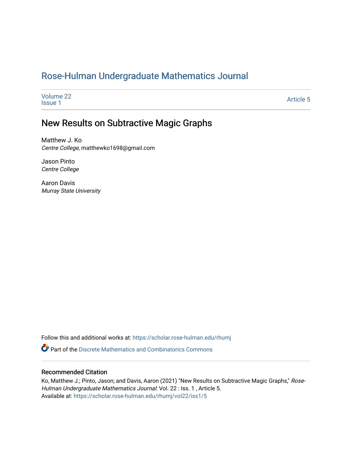# [Rose-Hulman Undergraduate Mathematics Journal](https://scholar.rose-hulman.edu/rhumj)

| Volume 22<br><b>Issue 1</b> | <b>Article 5</b> |
|-----------------------------|------------------|
|                             |                  |

# New Results on Subtractive Magic Graphs

Matthew J. Ko Centre College, matthewko1698@gmail.com

Jason Pinto Centre College

Aaron Davis Murray State University

Follow this and additional works at: [https://scholar.rose-hulman.edu/rhumj](https://scholar.rose-hulman.edu/rhumj?utm_source=scholar.rose-hulman.edu%2Frhumj%2Fvol22%2Fiss1%2F5&utm_medium=PDF&utm_campaign=PDFCoverPages)

 $\bullet$  Part of the Discrete Mathematics and Combinatorics Commons

#### Recommended Citation

Ko, Matthew J.; Pinto, Jason; and Davis, Aaron (2021) "New Results on Subtractive Magic Graphs," Rose-Hulman Undergraduate Mathematics Journal: Vol. 22 : Iss. 1, Article 5. Available at: [https://scholar.rose-hulman.edu/rhumj/vol22/iss1/5](https://scholar.rose-hulman.edu/rhumj/vol22/iss1/5?utm_source=scholar.rose-hulman.edu%2Frhumj%2Fvol22%2Fiss1%2F5&utm_medium=PDF&utm_campaign=PDFCoverPages)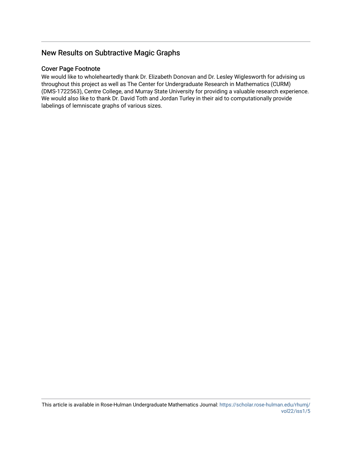# New Results on Subtractive Magic Graphs

#### Cover Page Footnote

We would like to wholeheartedly thank Dr. Elizabeth Donovan and Dr. Lesley Wiglesworth for advising us throughout this project as well as The Center for Undergraduate Research in Mathematics (CURM) (DMS-1722563), Centre College, and Murray State University for providing a valuable research experience. We would also like to thank Dr. David Toth and Jordan Turley in their aid to computationally provide labelings of lemniscate graphs of various sizes.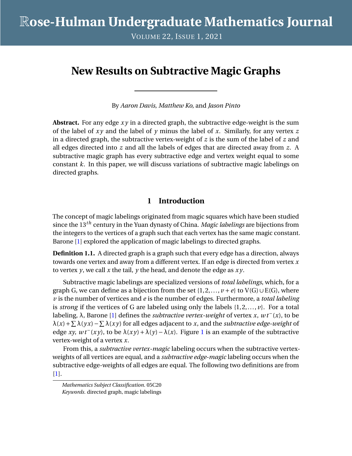VOLUME 22, ISSUE 1, 2021

# **New Results on Subtractive Magic Graphs**

By *Aaron Davis*, *Matthew Ko*, and *Jason Pinto*

**Abstract.** For any edge *x y* in a directed graph, the subtractive edge-weight is the sum of the label of *x y* and the label of *y* minus the label of *x*. Similarly, for any vertex *z* in a directed graph, the subtractive vertex-weight of *z* is the sum of the label of *z* and all edges directed into *z* and all the labels of edges that are directed away from *z*. A subtractive magic graph has every subtractive edge and vertex weight equal to some constant *k*. In this paper, we will discuss variations of subtractive magic labelings on directed graphs.

# **1 Introduction**

The concept of magic labelings originated from magic squares which have been studied since the 13*th* century in the Yuan dynasty of China. *Magic labelings* are bijections from the integers to the vertices of a graph such that each vertex has the same magic constant. Barone [\[1\]](#page-20-0) explored the application of magic labelings to directed graphs.

**Definition 1.1.** A directed graph is a graph such that every edge has a direction, always towards one vertex and away from a different vertex. If an edge is directed from vertex *x* to vertex *y*, we call *x* the tail, *y* the head, and denote the edge as *x y*.

Subtractive magic labelings are specialized versions of *total labelings*, which, for a graph G, we can define as a bijection from the set  $\{1, 2, ..., v + e\}$  to  $V(G) \cup E(G)$ , where *v* is the number of vertices and *e* is the number of edges. Furthermore, a *total labeling* is *strong* if the vertices of G are labeled using only the labels {1,2,..., *v*}. For a total labeling, λ, Barone [\[1\]](#page-20-0) defines the *subtractive vertex-weight* of vertex *x*, *w t*−(*x*), to be λ(*x*)+ P λ(*y x*)− P λ(*x y*) for all edges adjacent to *x*, and the *subtractive edge-weight* of edge *xy*,  $wt^{-}(xy)$ , to be  $\lambda(xy) + \lambda(y) - \lambda(x)$ . Figure [1](#page-3-0) is an example of the subtractive vertex-weight of a vertex *x*.

From this, a *subtractive vertex-magic* labeling occurs when the subtractive vertexweights of all vertices are equal, and a *subtractive edge-magic* labeling occurs when the subtractive edge-weights of all edges are equal. The following two definitions are from [\[1\]](#page-20-0).

*Mathematics Subject Classification.* 05C20 *Keywords.* directed graph, magic labelings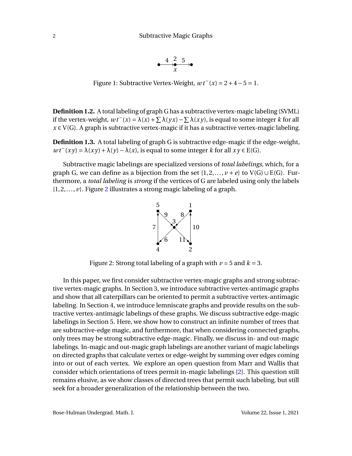$$
\overset{4}{\longrightarrow}\overset{2}{\underset{x}{\longrightarrow}}\overset{5}{\longrightarrow}
$$

<span id="page-3-0"></span>Figure 1: Subtractive Vertex-Weight,  $wt(x) = 2 + 4 - 5 = 1$ .

**Definition 1.2.** A total labeling of graph G has a subtractive vertex-magic labeling (SVML) if the vertex-weight,  $wt^-(x) = \lambda(x) + \sum \lambda(yx) - \sum \lambda(xy)$ , is equal to some integer *k* for all  $x \in V(G)$ . A graph is subtractive vertex-magic if it has a subtractive vertex-magic labeling.

**Definition 1.3.** A total labeling of graph G is subtractive edge-magic if the edge-weight,  $wt^-(xy) = \lambda(xy) + \lambda(y) - \lambda(x)$ , is equal to some integer *k* for all  $xy \in E(G)$ .

<span id="page-3-1"></span>Subtractive magic labelings are specialized versions of *total labelings*, which, for a graph G, we can define as a bijection from the set  $\{1, 2, ..., v + e\}$  to  $V(G) \cup E(G)$ . Furthermore, a *total labeling* is *strong* if the vertices of G are labeled using only the labels  $\{1, 2, \ldots, \nu\}$  $\{1, 2, \ldots, \nu\}$  $\{1, 2, \ldots, \nu\}$ . Figure 2 illustrates a strong magic labeling of a graph.



Figure 2: Strong total labeling of a graph with  $\nu = 5$  and  $k = 3$ .

In this paper, we first consider subtractive vertex-magic graphs and strong subtractive vertex-magic graphs. In Section 3, we introduce subtractive vertex-antimagic graphs and show that all caterpillars can be oriented to permit a subtractive vertex-antimagic labeling. In Section 4, we introduce lemniscate graphs and provide results on the subtractive vertex-antimagic labelings of these graphs. We discuss subtractive edge-magic labelings in Section 5. Here, we show how to construct an infinite number of trees that are subtractive-edge magic, and furthermore, that when considering connected graphs, only trees may be strong subtractive edge-magic. Finally, we discuss in- and out-magic labelings. In-magic and out-magic graph labelings are another variant of magic labelings on directed graphs that calculate vertex or edge-weight by summing over edges coming into or out of each vertex. We explore an open question from Marr and Wallis that consider which orientations of trees permit in-magic labelings [\[2\]](#page-20-1). This question still remains elusive, as we show classes of directed trees that permit such labeling, but still seek for a broader generalization of the relationship between the two.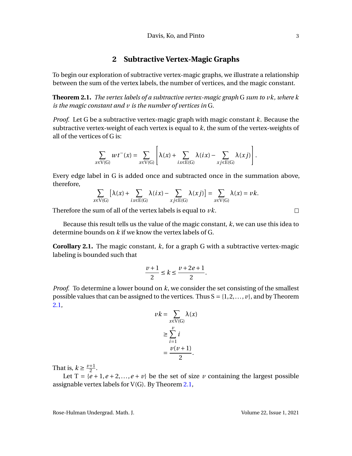#### **2 Subtractive Vertex-Magic Graphs**

To begin our exploration of subtractive vertex-magic graphs, we illustrate a relationship between the sum of the vertex labels, the number of vertices, and the magic constant.

<span id="page-4-0"></span>**Theorem 2.1.** *The vertex labels of a subtractive vertex-magic graph* G *sum to vk, where k is the magic constant and v is the number of vertices in* G*.*

*Proof.* Let G be a subtractive vertex-magic graph with magic constant *k*. Because the subtractive vertex-weight of each vertex is equal to *k*, the sum of the vertex-weights of all of the vertices of G is:

$$
\sum_{x \in V(G)} wt^{-}(x) = \sum_{x \in V(G)} \left[ \lambda(x) + \sum_{ix \in E(G)} \lambda(ix) - \sum_{xj \in E(G)} \lambda(xj) \right].
$$

Every edge label in G is added once and subtracted once in the summation above, therefore,

$$
\sum_{x \in V(G)} \left[ \lambda(x) + \sum_{i x \in E(G)} \lambda(ix) - \sum_{xj \in E(G)} \lambda(xj) \right] = \sum_{x \in V(G)} \lambda(x) = \nu k.
$$

Therefore the sum of all of the vertex labels is equal to *vk*.

Because this result tells us the value of the magic constant, *k*, we can use this idea to determine bounds on *k* if we know the vertex labels of G.

<span id="page-4-1"></span>**Corollary 2.1.** The magic constant, *k*, for a graph G with a subtractive vertex-magic labeling is bounded such that

$$
\frac{\nu+1}{2} \le k \le \frac{\nu+2e+1}{2}.
$$

*Proof.* To determine a lower bound on *k*, we consider the set consisting of the smallest possible values that can be assigned to the vertices. Thus  $S = \{1, 2, ..., v\}$ , and by Theorem [2.1,](#page-4-0)

$$
\nu k = \sum_{x \in V(G)} \lambda(x)
$$

$$
\geq \sum_{i=1}^{\nu} i
$$

$$
= \frac{\nu(\nu+1)}{2}.
$$

That is,  $k \geq \frac{\nu+1}{2}$  $\frac{+1}{2}$ .

Let  $T = \{e+1, e+2,..., e+v\}$  be the set of size *v* containing the largest possible assignable vertex labels for V(G). By Theorem [2.1,](#page-4-0)

Rose-Hulman Undergrad. Math. J. Volume 22, Issue 1, 2021

 $\Box$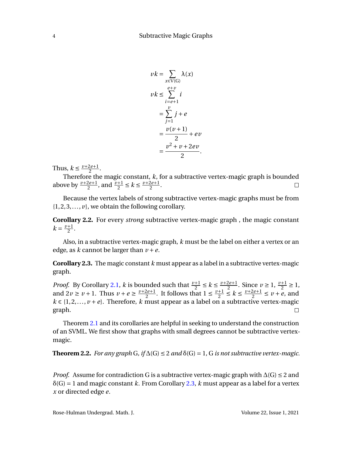$$
vk = \sum_{x \in V(G)} \lambda(x)
$$
  

$$
vk \le \sum_{i=e+1}^{e+v} i
$$
  

$$
= \sum_{j=1}^{v} j + e
$$
  

$$
= \frac{v(v+1)}{2} + ev
$$
  

$$
= \frac{v^2 + v + 2ev}{2}.
$$

Thus,  $k \leq \frac{\nu+2e+1}{2}$  $\frac{2e+1}{2}$ .

Therefore the magic constant, *k*, for a subtractive vertex-magic graph is bounded above by  $\frac{\nu+2e+1}{2}$ , and  $\frac{\nu+1}{2} \le k \le \frac{\nu+2e+1}{2}$  $\frac{2e+1}{2}$ .  $\Box$ 

Because the vertex labels of strong subtractive vertex-magic graphs must be from  $\{1, 2, 3, \ldots, \nu\}$ , we obtain the following corollary.

<span id="page-5-2"></span>**Corollary 2.2.** For every *strong* subtractive vertex-magic graph , the magic constant  $k = \frac{\nu + 1}{2}$  $\frac{+1}{2}$ .

Also, in a subtractive vertex-magic graph, *k* must be the label on either a vertex or an edge, as *k* cannot be larger than  $v + e$ .

<span id="page-5-0"></span>**Corollary 2.3.** The magic constant *k* must appear as a label in a subtractive vertex-magic graph.

*Proof.* By Corollary [2.1,](#page-4-1) *k* is bounded such that  $\frac{v+1}{2} \le k \le \frac{v+2e+1}{2}$  $\frac{2e+1}{2}$ . Since  $v \ge 1$ ,  $\frac{v+1}{2} \ge 1$ , and  $2v \ge v + 1$ . Thus  $v + e \ge \frac{v + 2e + 1}{2}$  $\frac{2e+1}{2}$ . It follows that  $1 \leq \frac{v+1}{2}$  $\frac{+1}{2} \leq k \leq \frac{\nu+2e+1}{2}$  $\frac{2e+1}{2} \le v + e$ , and  $k \in \{1, 2, \ldots, \nu + e\}$ . Therefore, *k* must appear as a label on a subtractive vertex-magic graph.  $\Box$ 

Theorem [2.1](#page-4-0) and its corollaries are helpful in seeking to understand the construction of an SVML. We first show that graphs with small degrees cannot be subtractive vertexmagic.

<span id="page-5-1"></span>**Theorem 2.2.** *For any graph* G,  $if \Delta(G) \leq 2$  *and*  $\delta(G) = 1$ , G *is not subtractive vertex-magic.* 

*Proof.* Assume for contradiction G is a subtractive vertex-magic graph with  $\Delta(G) \leq 2$  and  $\delta(G) = 1$  and magic constant *k*. From Corollary [2.3,](#page-5-0) *k* must appear as a label for a vertex *x* or directed edge *e*.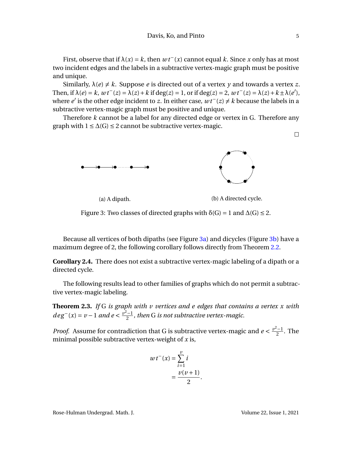First, observe that if  $\lambda(x) = k$ , then  $wt^-(x)$  cannot equal k. Since x only has at most two incident edges and the labels in a subtractive vertex-magic graph must be positive and unique.

Similarly,  $\lambda(e) \neq k$ . Suppose *e* is directed out of a vertex *y* and towards a vertex *z*. Then, if  $\lambda(e) = k$ ,  $wt^{-}(z) = \lambda(z) + k$  if deg(*z*) = 1, or if deg(*z*) = 2,  $wt^{-}(z) = \lambda(z) + k \pm \lambda(e')$ , where *e'* is the other edge incident to *z*. In either case,  $wt$ <sup>−</sup>(*z*) ≠ *k* because the labels in a subtractive vertex-magic graph must be positive and unique.

Therefore *k* cannot be a label for any directed edge or vertex in G. Therefore any graph with  $1 \leq \Delta(G) \leq 2$  cannot be subtractive vertex-magic.

<span id="page-6-0"></span>

(a) A dipath. (b) A directed cycle.

Figure 3: Two classes of directed graphs with  $\delta(G) = 1$  and  $\Delta(G) \leq 2$ .

Because all vertices of both dipaths (see Figure [3a\)](#page-6-0) and dicycles (Figure [3b\)](#page-6-0) have a maximum degree of 2, the following corollary follows directly from Theorem [2.2.](#page-5-1)

**Corollary 2.4.** There does not exist a subtractive vertex-magic labeling of a dipath or a directed cycle.

The following results lead to other families of graphs which do not permit a subtractive vertex-magic labeling.

<span id="page-6-1"></span>**Theorem 2.3.** *If* G *is graph with v vertices and e edges that contains a vertex x with deg*<sup> $-$ </sup>(*x*) = *v* − 1 *and e* <  $\frac{v^2-1}{2}$  $\frac{1}{2}$ , then G is not subtractive vertex-magic.

*Proof.* Assume for contradiction that G is subtractive vertex-magic and  $e < \frac{v^2-1}{2}$  $\frac{1}{2}$ . The minimal possible subtractive vertex-weight of *x* is,

$$
wt^{-}(x) = \sum_{i=1}^{v} i
$$

$$
= \frac{v(v+1)}{2}.
$$

Rose-Hulman Undergrad. Math. J. Volume 22, Issue 1, 2021

 $\Box$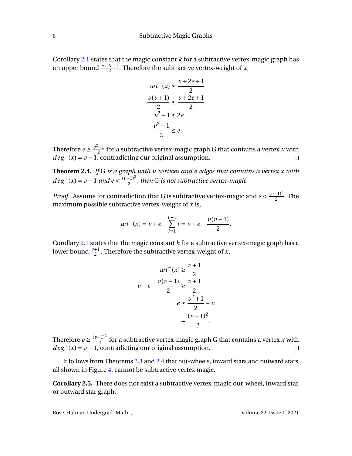Corollary [2.1](#page-4-1) states that the magic constant *k* for a subtractive vertex-magic graph has an upper bound  $\frac{\nu+2e+1}{2}$ . Therefore the subtractive vertex-weight of *x*,

$$
wt^{-}(x) \le \frac{v+2e+1}{2}
$$

$$
\frac{v(v+1)}{2} \le \frac{v+2e+1}{2}
$$

$$
v^{2}-1 \le 2e
$$

$$
\frac{v^{2}-1}{2} \le e.
$$

Therefore  $e \geq \frac{v^2 - 1}{2}$  $\frac{z-1}{2}$  for a subtractive vertex-magic graph G that contains a vertex *x* with  $deg^{-}(x) = v - 1$ , contradicting our original assumption.

<span id="page-7-0"></span>**Theorem 2.4.** *If* G *is a graph with v vertices and e edges that contains a vertex x with deg*<sup>+</sup>(*x*) = *v* − 1 *and e* <  $\frac{(v-1)^2}{2}$  $\frac{(-1)}{2}$ , then G is not subtractive vertex-magic.

*Proof.* Assume for contradiction that G is subtractive vertex-magic and  $e < \frac{(v-1)^2}{2}$  $\frac{-1}{2}$ . The maximum possible subtractive vertex-weight of *x* is,

$$
wt^{-}(x) = v + e - \sum_{i=1}^{v-1} i = v + e - \frac{v(v-1)}{2}.
$$

Corollary [2.1](#page-4-1) states that the magic constant *k* for a subtractive vertex-magic graph has a lower bound  $\frac{\nu+1}{2}$ . Therefore the subtractive vertex-weight of *x*,

$$
wt^{-}(x) \ge \frac{\nu+1}{2}
$$

$$
\nu + e - \frac{\nu(\nu-1)}{2} \ge \frac{\nu+1}{2}
$$

$$
e \ge \frac{\nu^{2}+1}{2} - \nu
$$

$$
= \frac{(\nu-1)^{2}}{2}.
$$

Therefore *e*  $\geq \frac{(v-1)^2}{2}$  $\frac{(-1)^2}{2}$  for a subtractive vertex-magic graph G that contains a vertex *x* with  $deg^+(x) = v - 1$ , contradicting our original assumption.

It follows from Theorems [2.3](#page-6-1) and [2.4](#page-7-0) that out-wheels, inward stars and outward stars, all shown in Figure [4,](#page-8-0) cannot be subtractive vertex magic.

**Corollary 2.5.** There does not exist a subtractive vertex-magic out-wheel, inward star, or outward star graph.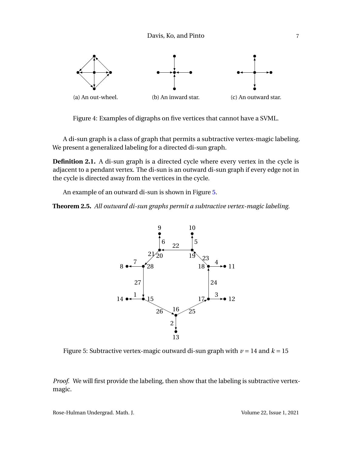Davis, Ko, and Pinto 7

<span id="page-8-0"></span>

Figure 4: Examples of digraphs on five vertices that cannot have a SVML.

A di-sun graph is a class of graph that permits a subtractive vertex-magic labeling. We present a generalized labeling for a directed di-sun graph.

**Definition 2.1.** A di-sun graph is a directed cycle where every vertex in the cycle is adjacent to a pendant vertex. The di-sun is an outward di-sun graph if every edge not in the cycle is directed away from the vertices in the cycle.

An example of an outward di-sun is shown in Figure [5.](#page-8-1)

<span id="page-8-1"></span>**Theorem 2.5.** *All outward di-sun graphs permit a subtractive vertex-magic labeling.*



Figure 5: Subtractive vertex-magic outward di-sun graph with  $\nu = 14$  and  $k = 15$ 

*Proof.* We will first provide the labeling, then show that the labeling is subtractive vertexmagic.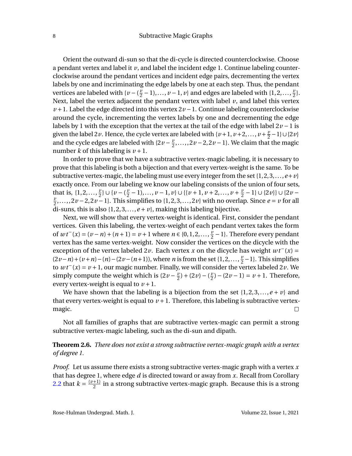Orient the outward di-sun so that the di-cycle is directed counterclockwise. Choose a pendant vertex and label it  $\nu$ , and label the incident edge 1. Continue labeling counterclockwise around the pendant vertices and incident edge pairs, decrementing the vertex labels by one and incriminating the edge labels by one at each step. Thus, the pendant vertices are labeled with  $\{v - \left(\frac{v}{2}\right)\}$ *<u>v</u>* − 1),..., *v* − 1, *v*} and edges are labeled with {1,2,...,  $\frac{y}{2}$  $\frac{v}{2}$ . Next, label the vertex adjacent the pendant vertex with label  $v$ , and label this vertex *v* + 1. Label the edge directed into this vertex  $2v - 1$ . Continue labeling counterclockwise around the cycle, incrementing the vertex labels by one and decrementing the edge labels by 1 with the exception that the vertex at the tail of the edge with label 2*v* −1 is given the label 2*v*. Hence, the cycle vertex are labeled with  $\{v+1, v+2,..., v+\frac{\nu}{2}\}$  $\frac{\nu}{2}$  – 1}∪{2*v*} and the cycle edges are labeled with  $\{2v - \frac{v}{2}\}$  $\frac{v}{2}$ ,...,,2*v* − 2,2*v* − 1}. We claim that the magic number *k* of this labeling is  $\nu + 1$ .

In order to prove that we have a subtractive vertex-magic labeling, it is necessary to prove that this labeling is both a bijection and that every vertex-weight is the same. To be subtractive vertex-magic, the labeling must use every integer from the set  $\{1,2,3,...,e+v\}$ exactly once. From our labeling we know our labeling consists of the union of four sets, that is,  $\{1, 2, ..., \frac{y}{2}\}$  $\frac{v}{2}$ } ∪ {*v* − ( $\frac{v}{2}$  $\frac{v}{2} - 1$ ,...,  $v - 1$ ,  $v \} \cup \{ \{ v + 1, v + 2, \ldots, v + \frac{v}{2} \}$  $\frac{v}{2}$  – 1} ∪ {2*v*}} ∪ {2*v* – *v*  $\frac{\nu}{2}, \ldots, 2\nu - 2, 2\nu - 1$ . This simplifies to  $\{1, 2, 3, \ldots, 2\nu\}$  with no overlap. Since  $e = \nu$  for all di-suns, this is also  $\{1, 2, 3, \ldots, e + v\}$ , making this labeling bijective.

Next, we will show that every vertex-weight is identical. First, consider the pendant vertices. Given this labeling, the vertex-weight of each pendant vertex takes the form of  $wt^{-}(x) = (v - n) + (n + 1) = v + 1$  where  $n \in \{0, 1, 2, ..., \frac{v}{2}\}$  $\frac{v}{2}$  – 1}. Therefore every pendant vertex has the same vertex-weight. Now consider the vertices on the dicycle with the exception of the vertex labeled 2*v*. Each vertex *x* on the dicycle has weight *w t*−(*x*) =  $(2\nu - n) + (\nu + n) - (n) - (2\nu - (n+1))$ , where *n* is from the set {1,2,...,  $\frac{\nu}{2}$  $\frac{v}{2}$  – 1}. This simplifies to *w t*−(*x*) = *v* +1, our magic number. Finally, we will consider the vertex labeled 2*v*. We simply compute the weight which is  $(2v - \frac{v}{2})$  $(\frac{v}{2}) + (2v) - (\frac{v}{2})$  $\frac{v}{2}$ ) – (2*v* – 1) = *v* + 1. Therefore, every vertex-weight is equal to  $\nu + 1$ .

We have shown that the labeling is a bijection from the set  $\{1, 2, 3, \ldots, e + v\}$  and that every vertex-weight is equal to  $v + 1$ . Therefore, this labeling is subtractive vertexmagic.  $\Box$ 

Not all families of graphs that are subtractive vertex-magic can permit a strong subtractive vertex-magic labeling, such as the di-sun and dipath.

**Theorem 2.6.** *There does not exist a strong subtractive vertex-magic graph with a vertex of degree 1.*

*Proof.* Let us assume there exists a strong subtractive vertex-magic graph with a vertex *x* that has degree 1, where edge *d* is directed toward or away from *x*. Recall from Corollary [2.2](#page-5-2) that  $k = \frac{(v+1)}{2}$  $\frac{+11}{2}$  in a strong subtractive vertex-magic graph. Because this is a strong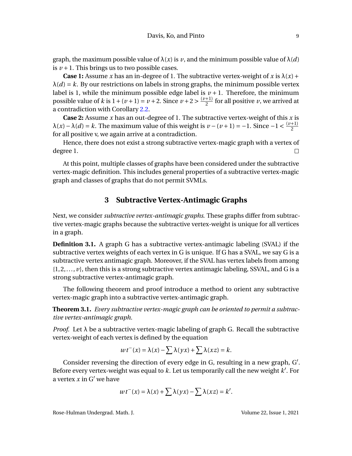graph, the maximum possible value of  $\lambda(x)$  is *v*, and the minimum possible value of  $\lambda(d)$ is  $\nu + 1$ . This brings us to two possible cases.

**Case 1:** Assume *x* has an in-degree of 1. The subtractive vertex-weight of *x* is  $\lambda(x)$  +  $\lambda(d) = k$ . By our restrictions on labels in strong graphs, the minimum possible vertex label is 1, while the minimum possible edge label is  $\nu + 1$ . Therefore, the minimum possible value of *k* is  $1 + (v + 1) = v + 2$ . Since  $v + 2 > \frac{(v+1)}{2}$  $\frac{+11}{2}$  for all positive *v*, we arrived at a contradiction with Corollary [2.2.](#page-5-2)

**Case 2:** Assume *x* has an out-degree of 1. The subtractive vertex-weight of this *x* is  $\lambda(x) - \lambda(d) = k$ . The maximum value of this weight is *v* − (*v* + 1) = −1. Since −1 <  $\frac{(v+1)}{2}$ 2 for all positive v, we again arrive at a contradiction.

Hence, there does not exist a strong subtractive vertex-magic graph with a vertex of degree 1.  $\Box$ 

At this point, multiple classes of graphs have been considered under the subtractive vertex-magic definition. This includes general properties of a subtractive vertex-magic graph and classes of graphs that do not permit SVMLs.

### **3 Subtractive Vertex-Antimagic Graphs**

Next, we consider *subtractive vertex-antimagic graphs*. These graphs differ from subtractive vertex-magic graphs because the subtractive vertex-weight is unique for all vertices in a graph.

**Definition 3.1.** A graph G has a subtractive vertex-antimagic labeling (SVAL) if the subtractive vertex weights of each vertex in G is unique. If G has a SVAL, we say G is a subtractive vertex antimagic graph. Moreover, if the SVAL has vertex labels from among  $\{1, 2, \ldots, \nu\}$ , then this is a strong subtractive vertex antimagic labeling, SSVAL, and G is a strong subtractive vertex-antimagic graph.

The following theorem and proof introduce a method to orient any subtractive vertex-magic graph into a subtractive vertex-antimagic graph.

**Theorem 3.1.** *Every subtractive vertex-magic graph can be oriented to permit a subtractive vertex-antimagic graph.*

*Proof.* Let  $\lambda$  be a subtractive vertex-magic labeling of graph G. Recall the subtractive vertex-weight of each vertex is defined by the equation

$$
wt^{-}(x) = \lambda(x) - \sum \lambda(yx) + \sum \lambda(xz) = k.
$$

Consider reversing the direction of every edge in G, resulting in a new graph, G'. Before every vertex-weight was equal to  $k$ . Let us temporarily call the new weight  $k'$ . For a vertex  $x$  in  $G'$  we have

$$
wt^{-}(x) = \lambda(x) + \sum \lambda(yx) - \sum \lambda(xz) = k'.
$$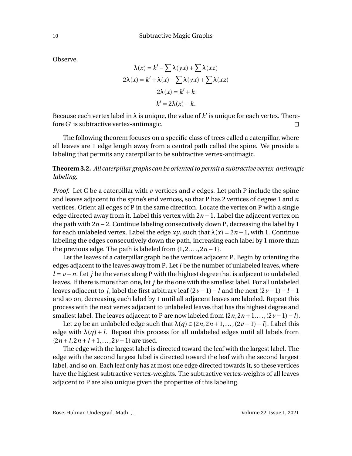Observe,

$$
\lambda(x) = k' - \sum \lambda(yx) + \sum \lambda(xz)
$$

$$
2\lambda(x) = k' + \lambda(x) - \sum \lambda(yx) + \sum \lambda(xz)
$$

$$
2\lambda(x) = k' + k
$$

$$
k' = 2\lambda(x) - k.
$$

Because each vertex label in  $\lambda$  is unique, the value of  $k'$  is unique for each vertex. Therefore G' is subtractive vertex-antimagic.  $\Box$ 

The following theorem focuses on a specific class of trees called a caterpillar, where all leaves are 1 edge length away from a central path called the spine. We provide a labeling that permits any caterpillar to be subtractive vertex-antimagic.

**Theorem 3.2.** *All caterpillar graphs can be oriented to permit a subtractive vertex-antimagic labeling.*

*Proof.* Let C be a caterpillar with *v* vertices and *e* edges. Let path P include the spine and leaves adjacent to the spine's end vertices, so that P has 2 vertices of degree 1 and *n* vertices. Orient all edges of P in the same direction. Locate the vertex on P with a single edge directed away from it. Label this vertex with 2*n* −1. Label the adjacent vertex on the path with 2*n* −2. Continue labeling consecutively down P, decreasing the label by 1 for each unlabeled vertex. Label the edge *xy*, such that  $\lambda(x) = 2n - 1$ , with 1. Continue labeling the edges consecutively down the path, increasing each label by 1 more than the previous edge. The path is labeled from  $\{1, 2, \ldots, 2n - 1\}$ .

Let the leaves of a caterpillar graph be the vertices adjacent P. Begin by orienting the edges adjacent to the leaves away from P. Let *l* be the number of unlabeled leaves, where *l* = *v* − *n*. Let *j* be the vertex along P with the highest degree that is adjacent to unlabeled leaves. If there is more than one, let *j* be the one with the smallest label. For all unlabeled leaves adjacent to *j*, label the first arbitrary leaf (2*v* −1)−*l* and the next (2*v* −1)−*l* −1 and so on, decreasing each label by 1 until all adjacent leaves are labeled. Repeat this process with the next vertex adjacent to unlabeled leaves that has the highest degree and smallest label. The leaves adjacent to P are now labeled from  $\{2n,2n+1,\ldots,(2\nu-1)-l\}$ .

Let *zq* be an unlabeled edge such that λ(*q*) ∈ {2*n*,2*n* +1,...,(2*v* −1)−*l*}. Label this edge with  $\lambda(q) + l$ . Repeat this process for all unlabeled edges until all labels from  ${2n+l, 2n+l+1,..., 2\nu-1}$  are used.

The edge with the largest label is directed toward the leaf with the largest label. The edge with the second largest label is directed toward the leaf with the second largest label, and so on. Each leaf only has at most one edge directed towards it, so these vertices have the highest subtractive vertex-weights. The subtractive vertex-weights of all leaves adjacent to P are also unique given the properties of this labeling.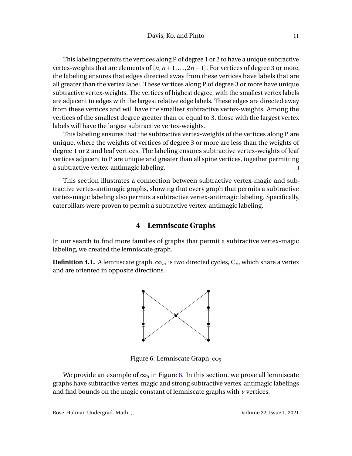This labeling permits the vertices along P of degree 1 or 2 to have a unique subtractive vertex-weights that are elements of  $\{n, n+1, \ldots, 2n-1\}$ . For vertices of degree 3 or more, the labeling ensures that edges directed away from these vertices have labels that are all greater than the vertex label. These vertices along P of degree 3 or more have unique subtractive vertex-weights. The vertices of highest degree, with the smallest vertex labels are adjacent to edges with the largest relative edge labels. These edges are directed away from these vertices and will have the smallest subtractive vertex-weights. Among the vertices of the smallest degree greater than or equal to 3, those with the largest vertex labels will have the largest subtractive vertex-weights.

This labeling ensures that the subtractive vertex-weights of the vertices along P are unique, where the weights of vertices of degree 3 or more are less than the weights of degree 1 or 2 and leaf vertices. The labeling ensures subtractive vertex-weights of leaf vertices adjacent to P are unique and greater than all spine vertices, together permitting a subtractive vertex-antimagic labeling.  $\Box$ 

This section illustrates a connection between subtractive vertex-magic and subtractive vertex-antimagic graphs, showing that every graph that permits a subtractive vertex-magic labeling also permits a subtractive vertex-antimagic labeling. Specifically, caterpillars were proven to permit a subtractive vertex-antimagic labeling.

#### **4 Lemniscate Graphs**

In our search to find more families of graphs that permit a subtractive vertex-magic labeling, we created the lemniscate graph.

<span id="page-12-0"></span>**Definition 4.1.** A lemniscate graph,  $\infty_v$ , is two directed cycles,  $C_v$ , which share a vertex and are oriented in opposite directions.



Figure 6: Lemniscate Graph,  $\infty_5$ 

We provide an example of  $\infty_5$  in Figure [6.](#page-12-0) In this section, we prove all lemniscate graphs have subtractive vertex-magic and strong subtractive vertex-antimagic labelings and find bounds on the magic constant of lemniscate graphs with *v* vertices.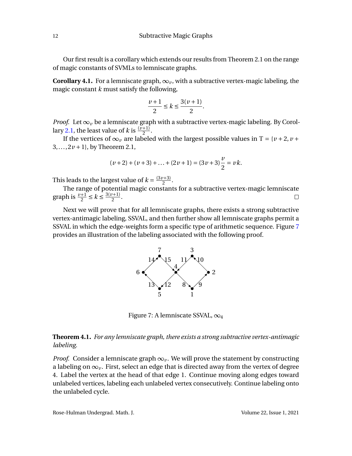Our first result is a corollary which extends our results from Theorem 2.1 on the range of magic constants of SVMLs to lemniscate graphs.

**Corollary 4.1.** For a lemniscate graph,  $\infty_v$ , with a subtractive vertex-magic labeling, the magic constant *k* must satisfy the following,

$$
\frac{\nu+1}{2}\leq k\leq \frac{3(\nu+1)}{2}.
$$

*Proof.* Let  $\infty$ <sup>*v*</sup> be a lemniscate graph with a subtractive vertex-magic labeling. By Corol-lary [2.1,](#page-4-1) the least value of *k* is  $\frac{(v+1)}{2}$ .

2.1, the reast value of  $\kappa$  is  $\frac{2}{2}$ .  $3, \ldots, 2\nu + 1$ , by Theorem 2.1,

$$
(v+2) + (v+3) + \ldots + (2v+1) = (3v+3)\frac{v}{2} = vk.
$$

This leads to the largest value of  $k = \frac{(3v+3)}{2}$  $\frac{(1+3)}{2}$ .

The range of potential magic constants for a subtractive vertex-magic lemniscate graph is  $\frac{v+1}{2} \le k \le \frac{3(v+1)}{2}$  $\Box$  $\frac{1}{2}$ .

<span id="page-13-0"></span>Next we will prove that for all lemniscate graphs, there exists a strong subtractive vertex-antimagic labeling, SSVAL, and then further show all lemniscate graphs permit a SSVAL in which the edge-weights form a specific type of arithmetic sequence. Figure [7](#page-13-0) provides an illustration of the labeling associated with the following proof.



Figure 7: A lemniscate SSVAL,  $\infty_4$ 

#### **Theorem 4.1.** *For any lemniscate graph, there exists a strong subtractive vertex-antimagic labeling.*

*Proof.* Consider a lemniscate graph  $\infty$ <sup>*v*</sup>. We will prove the statement by constructing a labeling on  $\infty$ <sub>v</sub>. First, select an edge that is directed away from the vertex of degree 4. Label the vertex at the head of that edge 1. Continue moving along edges toward unlabeled vertices, labeling each unlabeled vertex consecutively. Continue labeling onto the unlabeled cycle.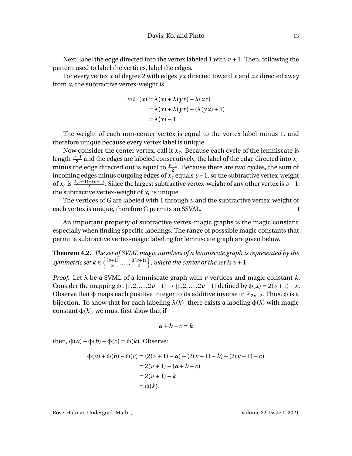Next, label the edge directed into the vertex labeled 1 with  $\nu + 1$ . Then, following the pattern used to label the vertices, label the edges.

For every vertex *x* of degree 2 with edges *y x* directed toward *x* and *xz* directed away from *x*, the subtractive vertex-weight is

$$
wt^{-}(x) = \lambda(x) + \lambda(yx) - \lambda(xz)
$$
  
=  $\lambda(x) + \lambda(yx) - (\lambda(yx) + 1)$   
=  $\lambda(x) - 1$ .

The weight of each non-center vertex is equal to the vertex label minus 1, and therefore unique because every vertex label is unique.

Now consider the center vertex, call it  $x_c$ . Because each cycle of the lemniscate is length  $\frac{v-1}{2}$  and the edges are labeled consecutively, the label of the edge directed into *x*<sub>*c*</sub> minus the edge directed out is equal to  $\frac{v-1}{2}$ . Because there are two cycles, the sum of incoming edges minus outgoing edges of  $\bar{x_c}$  equals  $\nu$  −1, so the subtractive vertex-weight of  $x_c$  is  $\frac{2(\nu-1)+( \nu+1)}{2}$ . Since the largest subtractive vertex-weight of any other vertex is  $\nu-1$ , the subtractive vertex-weight of  $x_c$  is unique.

The vertices of G are labeled with 1 through *v* and the subtractive vertex-weight of each vertex is unique, therefore G permits an SSVAL.  $\Box$ 

An important property of subtractive vertex-magic graphs is the magic constant, especially when finding specific labelings. The range of posssible magic constants that permit a subtractive vertex-magic labeling for lemniscate graph are given below.

**Theorem 4.2.** *The set of SVML magic numbers of a lemniscate graph is represented by the symmetric set*  $k \in \left\{\frac{\left(v+1\right)}{2}\right\}$  $\frac{+1}{2}, \ldots, \frac{3(v+1)}{2}$ 2  $\}$ , where the center of the set is  $v + 1$ .

*Proof.* Let λ be a SVML of a lemniscate graph with *v* vertices and magic constant *k*. Consider the mapping  $\phi$  : {1,2,...,2*v* + 1} → {1,2,...,2*v* + 1} defined by  $\phi(x) = 2(\nu + 1) - x$ . Observe that  $\phi$  maps each positive integer to its additive inverse in  $\mathbb{Z}_{2\nu+2}$ . Thus,  $\phi$  is a bijection. To show that for each labeling  $\lambda(k)$ , there exists a labeling  $\phi(\lambda)$  with magic constant  $\phi(k)$ , we must first show that if

$$
a+b-c=k
$$

then,  $φ(a) + φ(b) – φ(c) = φ(k)$ . Observe:

$$
\phi(a) + \phi(b) - \phi(c) = (2(\nu + 1) - a) + (2(\nu + 1) - b) - (2(\nu + 1) - c)
$$
  
= 2(\nu + 1) - (a + b - c)  
= 2(\nu + 1) - k  
= \phi(k).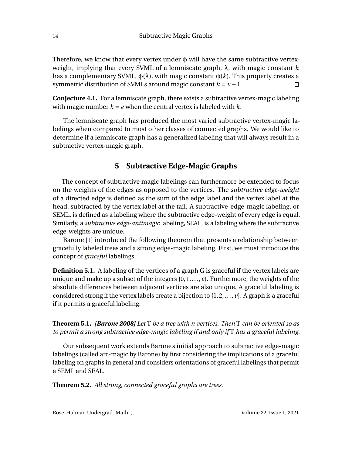Therefore, we know that every vertex under  $\phi$  will have the same subtractive vertexweight, implying that every SVML of a lemniscate graph, λ, with magic constant *k* has a complementary SVML,  $φ(λ)$ , with magic constant  $φ(λ)$ . This property creates a symmetric distribution of SVMLs around magic constant  $k = v + 1$ .  $\Box$ 

**Conjecture 4.1.** For a lemniscate graph, there exists a subtractive vertex-magic labeling with magic number  $k = e$  when the central vertex is labeled with  $k$ .

The lemniscate graph has produced the most varied subtractive vertex-magic labelings when compared to most other classes of connected graphs. We would like to determine if a lemniscate graph has a generalized labeling that will always result in a subtractive vertex-magic graph.

# **5 Subtractive Edge-Magic Graphs**

The concept of subtractive magic labelings can furthermore be extended to focus on the weights of the edges as opposed to the vertices. The *subtractive edge-weight* of a directed edge is defined as the sum of the edge label and the vertex label at the head, subtracted by the vertex label at the tail. A subtractive-edge-magic labeling, or SEML, is defined as a labeling where the subtractive edge-weight of every edge is equal. Similarly, a *subtractive edge-antimagic* labeling, SEAL, is a labeling where the subtractive edge-weights are unique.

Barone [\[1\]](#page-20-0) introduced the following theorem that presents a relationship between gracefully labeled trees and a strong edge-magic labeling. First, we must introduce the concept of *graceful* labelings.

**Definition 5.1.** A labeling of the vertices of a graph G is graceful if the vertex labels are unique and make up a subset of the integers {0,1,...,*e*}. Furthermore, the weights of the absolute differences between adjacent vertices are also unique. A graceful labeling is considered strong if the vertex labels create a bijection to {1,2,..., *v*}. A graph is a graceful if it permits a graceful labeling.

<span id="page-15-0"></span>**Theorem 5.1.** *[Barone 2008] Let* T *be a tree with n vertices. Then* T *can be oriented so as to permit a strong subtractive edge-magic labeling if and only if* T *has a graceful labeling.*

Our subsequent work extends Barone's initial approach to subtractive edge-magic labelings (called arc-magic by Barone) by first considering the implications of a graceful labeling on graphs in general and considers orientations of graceful labelings that permit a SEML and SEAL.

**Theorem 5.2.** *All strong, connected graceful graphs are trees.*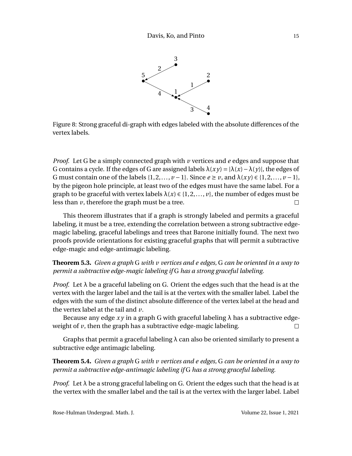

Figure 8: Strong graceful di-graph with edges labeled with the absolute differences of the vertex labels.

*Proof.* Let G be a simply connected graph with *v* vertices and *e* edges and suppose that G contains a cycle. If the edges of G are assigned labels  $\lambda(xy) = |\lambda(x) - \lambda(y)|$ , the edges of G must contain one of the labels  $\{1, 2, \ldots, \nu - 1\}$ . Since  $e \ge \nu$ , and  $\lambda(xy) \in \{1, 2, \ldots, \nu - 1\}$ , by the pigeon hole principle, at least two of the edges must have the same label. For a graph to be graceful with vertex labels  $\lambda(x) \in \{1, 2, ..., v\}$ , the number of edges must be less than *v*, therefore the graph must be a tree.  $\Box$ 

This theorem illustrates that if a graph is strongly labeled and permits a graceful labeling, it must be a tree, extending the correlation between a strong subtractive edgemagic labeling, graceful labelings and trees that Barone initially found. The next two proofs provide orientations for existing graceful graphs that will permit a subtractive edge-magic and edge-antimagic labeling.

<span id="page-16-0"></span>**Theorem 5.3.** *Given a graph* G *with v vertices and e edges,* G *can be oriented in a way to permit a subtractive edge-magic labeling if* G *has a strong graceful labeling.*

*Proof.* Let  $\lambda$  be a graceful labeling on G. Orient the edges such that the head is at the vertex with the larger label and the tail is at the vertex with the smaller label. Label the edges with the sum of the distinct absolute difference of the vertex label at the head and the vertex label at the tail and *v*.

Because any edge  $xy$  in a graph G with graceful labeling  $\lambda$  has a subtractive edgeweight of *v*, then the graph has a subtractive edge-magic labeling.  $\Box$ 

Graphs that permit a graceful labeling  $\lambda$  can also be oriented similarly to present a subtractive edge antimagic labeling.

**Theorem 5.4.** *Given a graph* G *with v vertices and e edges,* G *can be oriented in a way to permit a subtractive edge-antimagic labeling if* G *has a strong graceful labeling.*

*Proof.* Let  $\lambda$  be a strong graceful labeling on G. Orient the edges such that the head is at the vertex with the smaller label and the tail is at the vertex with the larger label. Label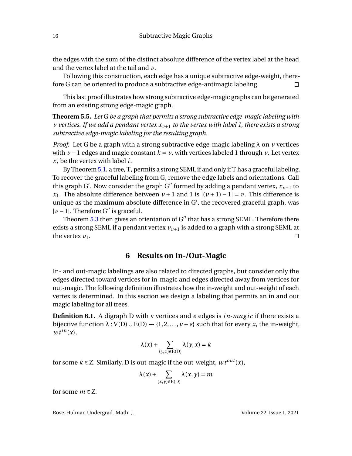the edges with the sum of the distinct absolute difference of the vertex label at the head and the vertex label at the tail and *v*.

Following this construction, each edge has a unique subtractive edge-weight, therefore G can be oriented to produce a subtractive edge-antimagic labeling.  $\Box$ 

This last proof illustrates how strong subtractive edge-magic graphs can be generated from an existing strong edge-magic graph.

**Theorem 5.5.** *Let* G *be a graph that permits a strong subtractive edge-magic labeling with v* vertices. If we add a pendant vertex  $x_{\nu+1}$  to the vertex with label 1, there exists a strong *subtractive edge-magic labeling for the resulting graph.*

*Proof.* Let G be a graph with a strong subtractive edge-magic labeling  $\lambda$  on  $\nu$  vertices with  $\nu$  − 1 edges and magic constant  $k = \nu$ , with vertices labeled 1 through  $\nu$ . Let vertex  $x_i$  be the vertex with label *i*.

By Theorem [5.1,](#page-15-0) a tree, T, permits a strong SEML if and only if T has a graceful labeling. To recover the graceful labeling from G, remove the edge labels and orientations. Call this graph G'. Now consider the graph G" formed by adding a pendant vertex,  $x_{\nu+1}$  to *x*<sub>1</sub>. The absolute difference between  $v + 1$  and  $1$  is  $|(v + 1) - 1| = v$ . This difference is unique as the maximum absolute difference in  $G'$ , the recovered graceful graph, was  $|v - 1|$ . Therefore G'' is graceful.

Theorem  $5.3$  then gives an orientation of  $G''$  that has a strong SEML. Therefore there exists a strong SEML if a pendant vertex  $v_{\nu+1}$  is added to a graph with a strong SEML at the vertex  $v_1$ .  $\Box$ 

#### **6 Results on In-/Out-Magic**

In- and out-magic labelings are also related to directed graphs, but consider only the edges directed toward vertices for in-magic and edges directed away from vertices for out-magic. The following definition illustrates how the in-weight and out-weight of each vertex is determined. In this section we design a labeling that permits an in and out magic labeling for all trees.

**Definition 6.1.** A digraph D with v vertices and *e* edges is *in-magic* if there exists a bijective function  $\lambda$  :  $V(D) \cup E(D) \rightarrow \{1, 2, ..., \nu + e\}$  such that for every *x*, the in-weight,  $wt^{in}(x)$ ,

$$
\lambda(x) + \sum_{(y,x)\in E(D)} \lambda(y,x) = k
$$

for some  $k \in \mathbb{Z}$ . Similarly, D is out-magic if the out-weight,  $wt^{out}(x)$ ,

$$
\lambda(x) + \sum_{(x,y)\in E(D)} \lambda(x,y) = m
$$

for some  $m \in \mathbb{Z}$ .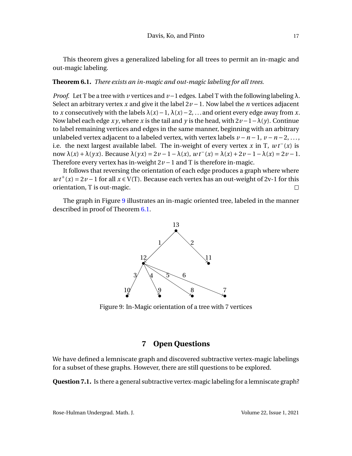This theorem gives a generalized labeling for all trees to permit an in-magic and out-magic labeling.

#### <span id="page-18-1"></span>**Theorem 6.1.** *There exists an in-magic and out-magic labeling for all trees.*

*Proof.* Let T be a tree with *v* vertices and  $\nu-1$  edges. Label T with the following labeling  $\lambda$ . Select an arbitrary vertex *x* and give it the label 2*v* −1. Now label the *n* vertices adjacent to *x* consecutively with the labels  $\lambda(x) - 1$ ,  $\lambda(x) - 2$ , ... and orient every edge away from *x*. Now label each edge  $xy$ , where x is the tail and y is the head, with  $2v-1-\lambda(y)$ . Continue to label remaining vertices and edges in the same manner, beginning with an arbitrary unlabeled vertex adjacent to a labeled vertex, with vertex labels  $v - n - 1$ ,  $v - n - 2$ , ..., i.e. the next largest available label. The in-weight of every vertex *x* in T,  $wt<sup>−</sup>(x)$  is now  $\lambda(x) + \lambda(yx)$ . Because  $\lambda(yx) = 2v - 1 - \lambda(x)$ ,  $wt^-(x) = \lambda(x) + 2v - 1 - \lambda(x) = 2v - 1$ . Therefore every vertex has in-weight 2*v* −1 and T is therefore in-magic.

It follows that reversing the orientation of each edge produces a graph where where  $wt^+(x) = 2v - 1$  for all  $x \in V(T)$ . Because each vertex has an out-weight of 2v-1 for this orientation, T is out-magic.  $\Box$ 

<span id="page-18-0"></span>The graph in Figure [9](#page-18-0) illustrates an in-magic oriented tree, labeled in the manner described in proof of Theorem [6.1.](#page-18-1)



Figure 9: In-Magic orientation of a tree with 7 vertices

## **7 Open Questions**

We have defined a lemniscate graph and discovered subtractive vertex-magic labelings for a subset of these graphs. However, there are still questions to be explored.

**Question 7.1.** Is there a general subtractive vertex-magic labeling for a lemniscate graph?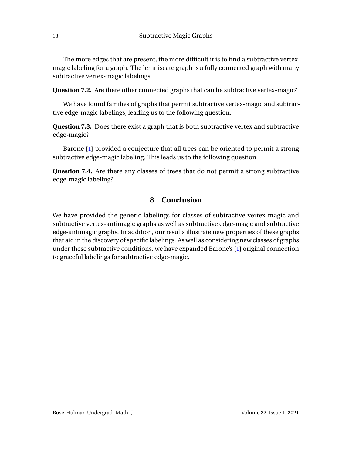The more edges that are present, the more difficult it is to find a subtractive vertexmagic labeling for a graph. The lemniscate graph is a fully connected graph with many subtractive vertex-magic labelings.

**Question 7.2.** Are there other connected graphs that can be subtractive vertex-magic?

We have found families of graphs that permit subtractive vertex-magic and subtractive edge-magic labelings, leading us to the following question.

**Question 7.3.** Does there exist a graph that is both subtractive vertex and subtractive edge-magic?

Barone [\[1\]](#page-20-0) provided a conjecture that all trees can be oriented to permit a strong subtractive edge-magic labeling. This leads us to the following question.

**Question 7.4.** Are there any classes of trees that do not permit a strong subtractive edge-magic labeling?

#### **8 Conclusion**

We have provided the generic labelings for classes of subtractive vertex-magic and subtractive vertex-antimagic graphs as well as subtractive edge-magic and subtractive edge-antimagic graphs. In addition, our results illustrate new properties of these graphs that aid in the discovery of specific labelings. As well as considering new classes of graphs under these subtractive conditions, we have expanded Barone's [\[1\]](#page-20-0) original connection to graceful labelings for subtractive edge-magic.